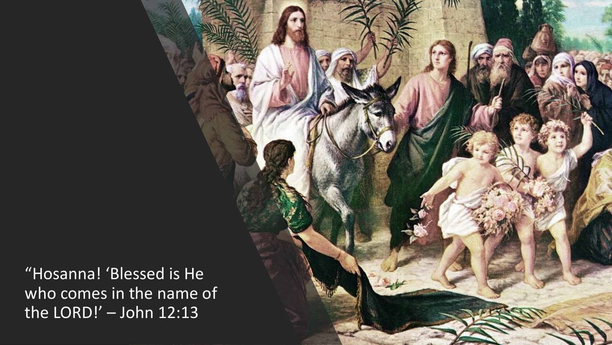"Hosanna! 'Blessed is He who comes in the name of the LORD!' – John 12:13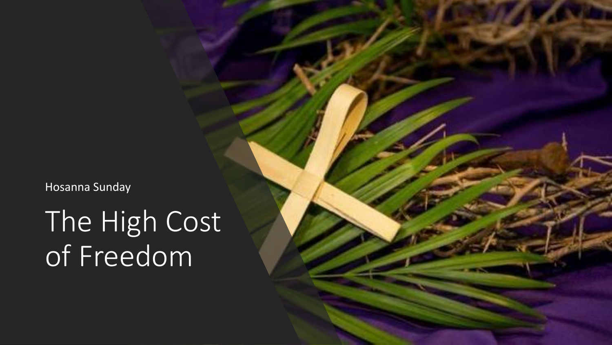Hosanna Sunday

The High Cost of Freedom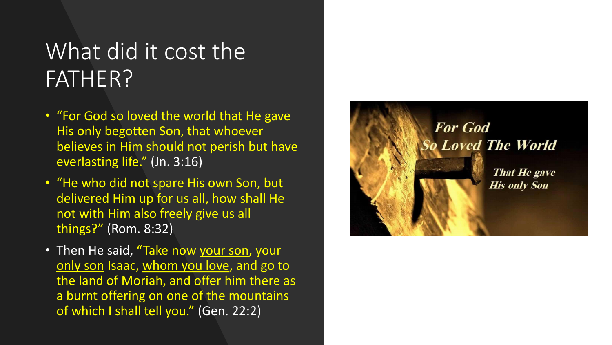#### What did it cost the FATHER?

- "For God so loved the world that He gave His only begotten Son, that whoever believes in Him should not perish but have everlasting life." (Jn. 3:16)
- "He who did not spare His own Son, but delivered Him up for us all, how shall He not with Him also freely give us all things?" (Rom. 8:32)
- Then He said, "Take now your son, your only son Isaac, whom you love, and go to the land of Moriah, and offer him there as a burnt offering on one of the mountains of which I shall tell you." (Gen. 22:2)

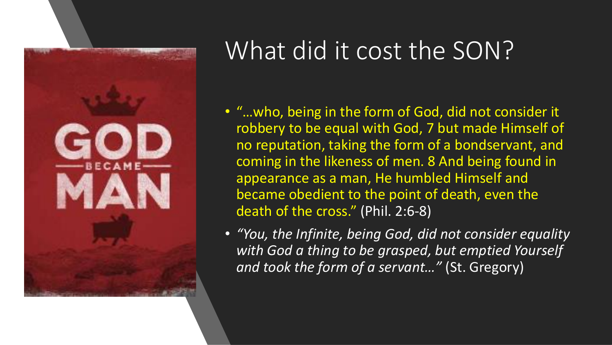

#### What did it cost the SON?

- "…who, being in the form of God, did not consider it robbery to be equal with God, 7 but made Himself of no reputation, taking the form of a bondservant, and coming in the likeness of men. 8 And being found in appearance as a man, He humbled Himself and became obedient to the point of death, even the death of the cross." (Phil. 2:6-8)
- *"You, the Infinite, being God, did not consider equality with God a thing to be grasped, but emptied Yourself and took the form of a servant…"* (St. Gregory)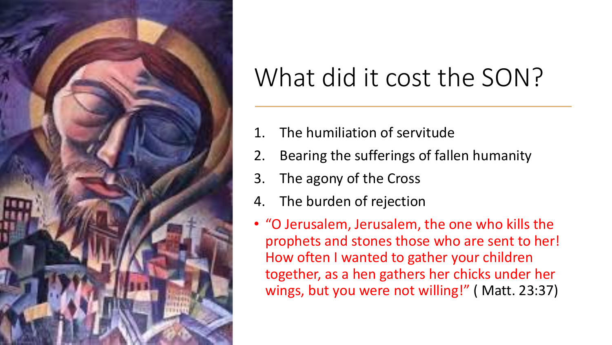

### What did it cost the SON?

- 1. The humiliation of servitude
- 2. Bearing the sufferings of fallen humanity
- 3. The agony of the Cross
- 4. The burden of rejection
- "O Jerusalem, Jerusalem, the one who kills the prophets and stones those who are sent to her! How often I wanted to gather your children together, as a hen gathers her chicks under her wings, but you were not willing!" ( Matt. 23:37)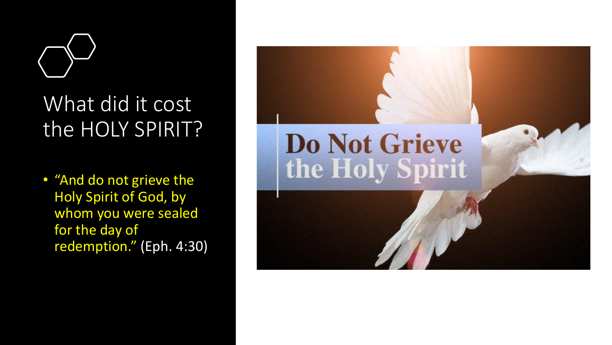

#### What did it cost the HOLY SPIRIT?

• "And do not grieve the Holy Spirit of God, by whom you were sealed for the day of redemption." (Eph. 4:30)

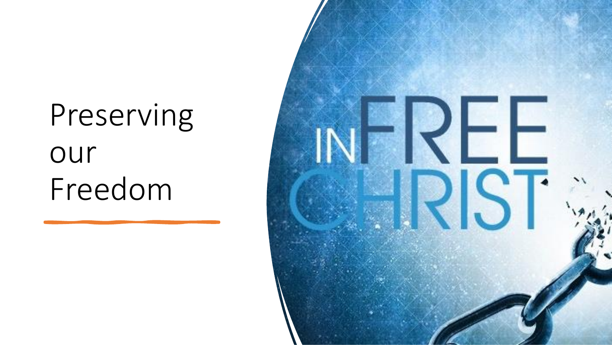### Preserving our Freedom

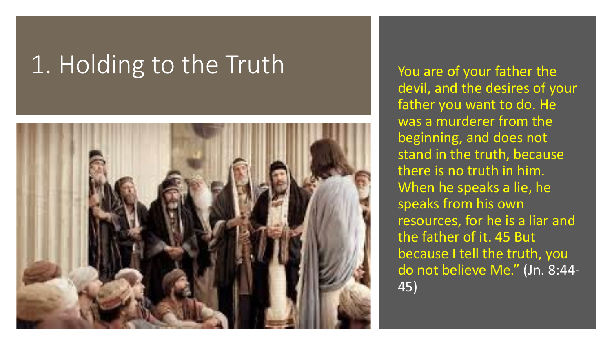#### 1. Holding to the Truth You are of your father the



devil, and the desires of your father you want to do. He was a murderer from the beginning, and does not stand in the truth, because there is no truth in him. When he speaks a lie, he speaks from his own resources, for he is a liar and the father of it. 45 But because I tell the truth, you do not believe Me." (Jn. 8:44- 45)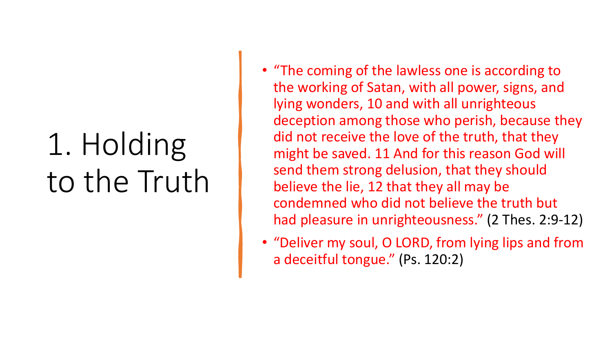### 1. Holding to the Truth

- "The coming of the lawless one is according to the working of Satan, with all power, signs, and lying wonders, 10 and with all unrighteous deception among those who perish, because they did not receive the love of the truth, that they might be saved. 11 And for this reason God will send them strong delusion, that they should believe the lie, 12 that they all may be condemned who did not believe the truth but had pleasure in unrighteousness." (2 Thes. 2:9-12)
- "Deliver my soul, O LORD, from lying lips and from a deceitful tongue." (Ps. 120:2)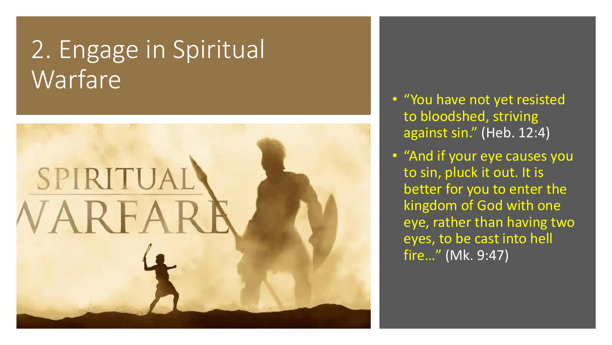#### 2. Engage in Spiritual Warfare



- "You have not yet resisted to bloodshed, striving against sin." (Heb. 12:4)
- "And if your eye causes you to sin, pluck it out. It is better for you to enter the kingdom of God with one eye, rather than having two eyes, to be cast into hell fire…" (Mk. 9:47)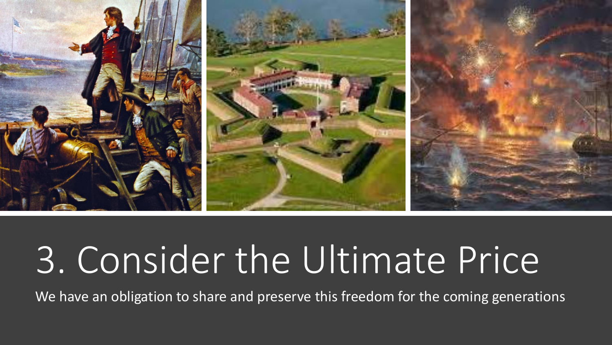

# 3. Consider the Ultimate Price

We have an obligation to share and preserve this freedom for the coming generations